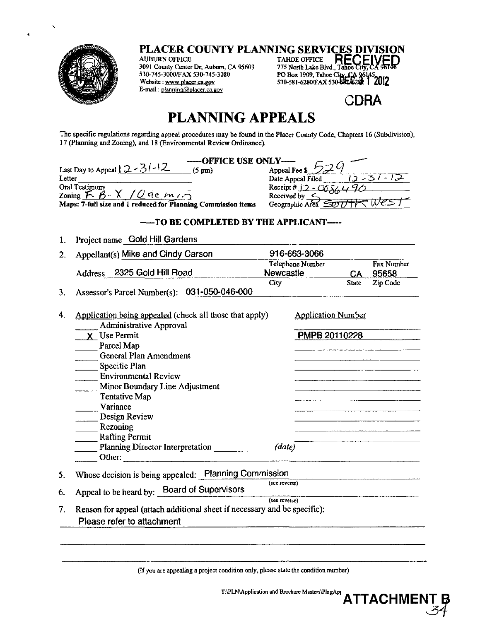

PLACER COUNTY PLANNING SERVICES DIVISION

**AUBURN OFFICE** 3091 County Center Dr, Auburn, CA 95603 530-745-3000/FAX 530-745-3080 Website : www.placer.ca.gov E-mail: planning@placer.ca.gov

TAHOE OFFICE RECE PO Box 1909, Tahoe City, CA 96145<br>530-581-6280/FAX 530-BIL628 1 2012

**CDRA** 

## **PLANNING APPEALS**

The specific regulations regarding appeal procedures may be found in the Placer County Code, Chapters 16 (Subdivision), 17 (Planning and Zoning), and 18 (Environmental Review Ordinance).

| -----OFFICE USE ONLY----                                      |                                       |  |  |  |  |
|---------------------------------------------------------------|---------------------------------------|--|--|--|--|
| Last Day to Appeal $2 - 3 - 2$<br>$(5 \text{ pm})$            | Appeal Fee $\mathsf{s} \mathcal{D}_c$ |  |  |  |  |
| Letter                                                        | Date Appeal Filed                     |  |  |  |  |
| Oral Testimony                                                | Receipt # $j$ 2 - $C$ 6 $S$ $\angle$  |  |  |  |  |
| Zoning $F. B. X. / Q$ ac $m i.5$                              | Received by $\subset$                 |  |  |  |  |
| Maps: 7-full size and 1 reduced for Planning Commission items | Geographic Area SOT/TT                |  |  |  |  |
| --TO BE COMPLETED BY THE APPLICANT----                        |                                       |  |  |  |  |
|                                                               |                                       |  |  |  |  |

Project name Gold Hill Gardens 1.

| 2. | Appellant(s) Mike and Cindy Carson                                                                      | 916-663-3066                  |                           |              |                     |  |  |
|----|---------------------------------------------------------------------------------------------------------|-------------------------------|---------------------------|--------------|---------------------|--|--|
|    | Address 2325 Gold Hill Road                                                                             | Telephone Number<br>Newcastle |                           | <b>CA</b>    | Fax Number<br>95658 |  |  |
| 3. | Assessor's Parcel Number(s): 031-050-046-000                                                            | <b>City</b>                   |                           | <b>State</b> | Zip Code            |  |  |
| 4. | Application being appealed (check all those that apply)                                                 |                               | <b>Application Number</b> |              |                     |  |  |
|    | <b>Administrative Approval</b>                                                                          |                               |                           |              |                     |  |  |
|    | X Use Permit                                                                                            |                               | PMPB 20110228             |              |                     |  |  |
|    | Parcel Map                                                                                              |                               |                           |              |                     |  |  |
|    | General Plan Amendment                                                                                  |                               |                           |              |                     |  |  |
|    | Specific Plan                                                                                           |                               |                           |              |                     |  |  |
|    | Environmental Review                                                                                    |                               |                           |              |                     |  |  |
|    | Minor Boundary Line Adjustment                                                                          |                               |                           |              |                     |  |  |
|    | Tentative Map                                                                                           |                               |                           |              |                     |  |  |
|    | Variance                                                                                                |                               |                           |              |                     |  |  |
|    | $\frac{1}{2}$ Design Review                                                                             |                               |                           |              |                     |  |  |
|    | Rezoning                                                                                                |                               |                           |              |                     |  |  |
|    | <b>Rafting Permit</b>                                                                                   |                               |                           |              |                     |  |  |
|    | Planning Director Interpretation                                                                        | (date)                        |                           |              |                     |  |  |
|    | Other:                                                                                                  |                               |                           |              |                     |  |  |
| 5. | Whose decision is being appealed: Planning Commission                                                   |                               |                           |              |                     |  |  |
| 6. | Appeal to be heard by: Board of Supervisors                                                             | (see reverse)                 |                           |              |                     |  |  |
| 7. | Reason for appeal (attach additional sheet if necessary and be specific):<br>Please refer to attachment | (see reverse)                 |                           |              |                     |  |  |

(If you are appealing a project condition only, please state the condition number)

T\PLN\Application and Brochure Masters\PlngApj

**ATTACHMENT**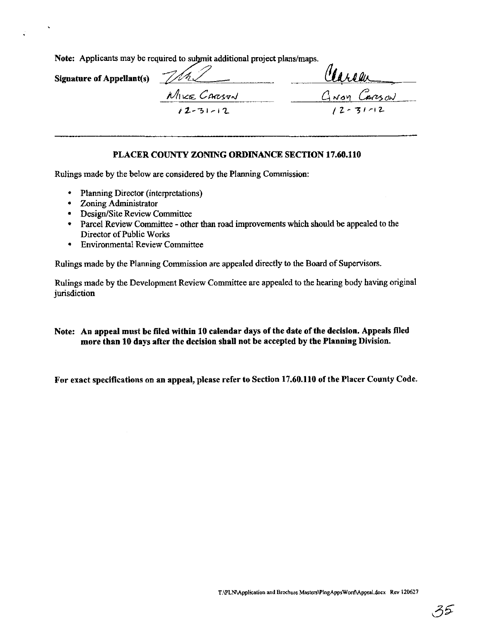Note: Applicants may be required to submit additional project plans/maps.

Signature of Appellant(s)  $\frac{M_{\text{NCE}}}{M_{\text{NCE}}C_{\text{AR37N}}}$   $\frac{M_{\text{A}}}{D_{\text{A}}}\frac{C_{\text{A}}}{D_{\text{A}}}\frac{C_{\text{A}}}{D_{\text{A}}}\frac{C_{\text{A}}}{D_{\text{A}}}\frac{C_{\text{A}}}{D_{\text{A}}}\frac{C_{\text{A}}}{D_{\text{A}}}\frac{C_{\text{A}}}{D_{\text{A}}}\frac{C_{\text{A}}}{D_{\text{A}}}\frac{C_{\text{A}}}{D_{\text{A}}}\frac{C_{\text{A}}}{D_{\text{A}}}\frac{C_{\text$ 

## PLACER COUNTY ZONING ORDINANCE SECTION 17.60.110

Rulings made by the below are considered by the Planning Commission:

- Planning Director (interpretations)
- Zoning Administrator
- Design/Site Review Committee
- Parcel Review Committee other than road improvements which should be appealed to the Director of Public Works
- Environmental Review Committee

Rulings made by the Planning Commission are appealed directly to the Board of Supervisors.

Rulings made by the Development Review Committee are appealed to the hearing body having original jurisdiction

## Note: An appeal must be filed within 10 calendar days of the date of the decision. Appeals filed more than 10 days after the decision shall not be accepted by the Planning Division.

For exact specifications on an appeal, please refer to Section 17.60.110 of the Placer County Code.